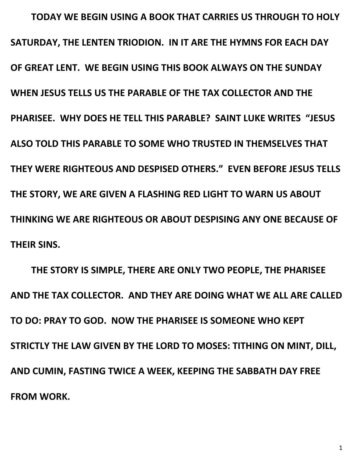**TODAY WE BEGIN USING A BOOK THAT CARRIES US THROUGH TO HOLY SATURDAY, THE LENTEN TRIODION. IN IT ARE THE HYMNS FOR EACH DAY OF GREAT LENT. WE BEGIN USING THIS BOOK ALWAYS ON THE SUNDAY WHEN JESUS TELLS US THE PARABLE OF THE TAX COLLECTOR AND THE PHARISEE. WHY DOES HE TELL THIS PARABLE? SAINT LUKE WRITES "JESUS ALSO TOLD THIS PARABLE TO SOME WHO TRUSTED IN THEMSELVES THAT THEY WERE RIGHTEOUS AND DESPISED OTHERS." EVEN BEFORE JESUS TELLS THE STORY, WE ARE GIVEN A FLASHING RED LIGHT TO WARN US ABOUT THINKING WE ARE RIGHTEOUS OR ABOUT DESPISING ANY ONE BECAUSE OF THEIR SINS.** 

**THE STORY IS SIMPLE, THERE ARE ONLY TWO PEOPLE, THE PHARISEE AND THE TAX COLLECTOR. AND THEY ARE DOING WHAT WE ALL ARE CALLED TO DO: PRAY TO GOD. NOW THE PHARISEE IS SOMEONE WHO KEPT STRICTLY THE LAW GIVEN BY THE LORD TO MOSES: TITHING ON MINT, DILL, AND CUMIN, FASTING TWICE A WEEK, KEEPING THE SABBATH DAY FREE FROM WORK.**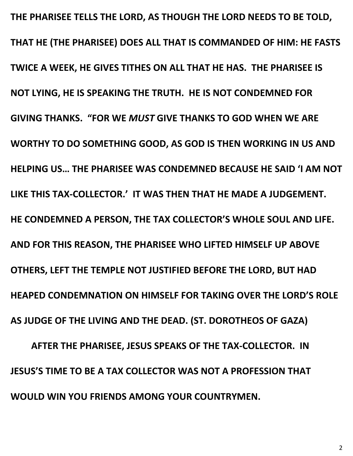**THE PHARISEE TELLS THE LORD, AS THOUGH THE LORD NEEDS TO BE TOLD, THAT HE (THE PHARISEE) DOES ALL THAT IS COMMANDED OF HIM: HE FASTS TWICE A WEEK, HE GIVES TITHES ON ALL THAT HE HAS. THE PHARISEE IS NOT LYING, HE IS SPEAKING THE TRUTH. HE IS NOT CONDEMNED FOR GIVING THANKS. "FOR WE** *MUST* **GIVE THANKS TO GOD WHEN WE ARE WORTHY TO DO SOMETHING GOOD, AS GOD IS THEN WORKING IN US AND HELPING US… THE PHARISEE WAS CONDEMNED BECAUSE HE SAID 'I AM NOT LIKE THIS TAX-COLLECTOR.' IT WAS THEN THAT HE MADE A JUDGEMENT. HE CONDEMNED A PERSON, THE TAX COLLECTOR'S WHOLE SOUL AND LIFE. AND FOR THIS REASON, THE PHARISEE WHO LIFTED HIMSELF UP ABOVE OTHERS, LEFT THE TEMPLE NOT JUSTIFIED BEFORE THE LORD, BUT HAD HEAPED CONDEMNATION ON HIMSELF FOR TAKING OVER THE LORD'S ROLE AS JUDGE OF THE LIVING AND THE DEAD. (ST. DOROTHEOS OF GAZA) AFTER THE PHARISEE, JESUS SPEAKS OF THE TAX-COLLECTOR. IN JESUS'S TIME TO BE A TAX COLLECTOR WAS NOT A PROFESSION THAT WOULD WIN YOU FRIENDS AMONG YOUR COUNTRYMEN.** 

2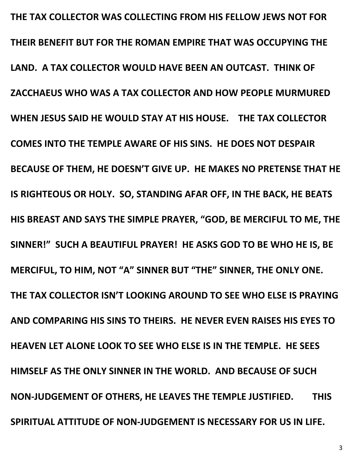**THE TAX COLLECTOR WAS COLLECTING FROM HIS FELLOW JEWS NOT FOR THEIR BENEFIT BUT FOR THE ROMAN EMPIRE THAT WAS OCCUPYING THE LAND. A TAX COLLECTOR WOULD HAVE BEEN AN OUTCAST. THINK OF ZACCHAEUS WHO WAS A TAX COLLECTOR AND HOW PEOPLE MURMURED WHEN JESUS SAID HE WOULD STAY AT HIS HOUSE. THE TAX COLLECTOR COMES INTO THE TEMPLE AWARE OF HIS SINS. HE DOES NOT DESPAIR BECAUSE OF THEM, HE DOESN'T GIVE UP. HE MAKES NO PRETENSE THAT HE IS RIGHTEOUS OR HOLY. SO, STANDING AFAR OFF, IN THE BACK, HE BEATS HIS BREAST AND SAYS THE SIMPLE PRAYER, "GOD, BE MERCIFUL TO ME, THE SINNER!" SUCH A BEAUTIFUL PRAYER! HE ASKS GOD TO BE WHO HE IS, BE MERCIFUL, TO HIM, NOT "A" SINNER BUT "THE" SINNER, THE ONLY ONE. THE TAX COLLECTOR ISN'T LOOKING AROUND TO SEE WHO ELSE IS PRAYING AND COMPARING HIS SINS TO THEIRS. HE NEVER EVEN RAISES HIS EYES TO HEAVEN LET ALONE LOOK TO SEE WHO ELSE IS IN THE TEMPLE. HE SEES HIMSELF AS THE ONLY SINNER IN THE WORLD. AND BECAUSE OF SUCH NON-JUDGEMENT OF OTHERS, HE LEAVES THE TEMPLE JUSTIFIED. THIS SPIRITUAL ATTITUDE OF NON-JUDGEMENT IS NECESSARY FOR US IN LIFE.** 

3